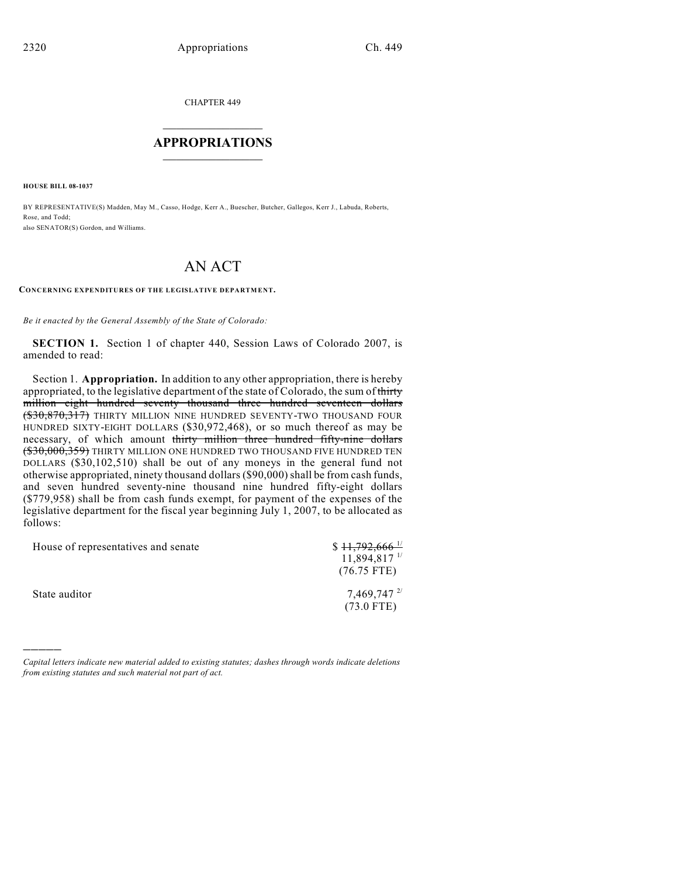CHAPTER 449

## $\mathcal{L}_\text{max}$  . The set of the set of the set of the set of the set of the set of the set of the set of the set of the set of the set of the set of the set of the set of the set of the set of the set of the set of the set **APPROPRIATIONS**  $\_$   $\_$   $\_$   $\_$   $\_$   $\_$   $\_$   $\_$

**HOUSE BILL 08-1037**

)))))

BY REPRESENTATIVE(S) Madden, May M., Casso, Hodge, Kerr A., Buescher, Butcher, Gallegos, Kerr J., Labuda, Roberts, Rose, and Todd; also SENATOR(S) Gordon, and Williams.

# AN ACT

#### **CONCERNING EXPENDITURES OF THE LEGISLATIVE DEPARTMENT.**

*Be it enacted by the General Assembly of the State of Colorado:*

**SECTION 1.** Section 1 of chapter 440, Session Laws of Colorado 2007, is amended to read:

Section 1. **Appropriation.** In addition to any other appropriation, there is hereby appropriated, to the legislative department of the state of Colorado, the sum of thirty million eight hundred seventy thousand three hundred seventeen dollars (\$30,870,317) THIRTY MILLION NINE HUNDRED SEVENTY-TWO THOUSAND FOUR HUNDRED SIXTY-EIGHT DOLLARS (\$30,972,468), or so much thereof as may be necessary, of which amount thirty million three hundred fifty-nine dollars (\$30,000,359) THIRTY MILLION ONE HUNDRED TWO THOUSAND FIVE HUNDRED TEN DOLLARS (\$30,102,510) shall be out of any moneys in the general fund not otherwise appropriated, ninety thousand dollars (\$90,000) shall be from cash funds, and seven hundred seventy-nine thousand nine hundred fifty-eight dollars (\$779,958) shall be from cash funds exempt, for payment of the expenses of the legislative department for the fiscal year beginning July 1, 2007, to be allocated as follows:

| House of representatives and senate | $$11,792,666$ <sup>1/</sup>                  |
|-------------------------------------|----------------------------------------------|
|                                     | $11,894,817$ <sup>1/</sup>                   |
|                                     | $(76.75$ FTE)                                |
| State auditor                       | $7,469,747$ $^{2/2}$<br>$(73.0 \text{ FTE})$ |

*Capital letters indicate new material added to existing statutes; dashes through words indicate deletions from existing statutes and such material not part of act.*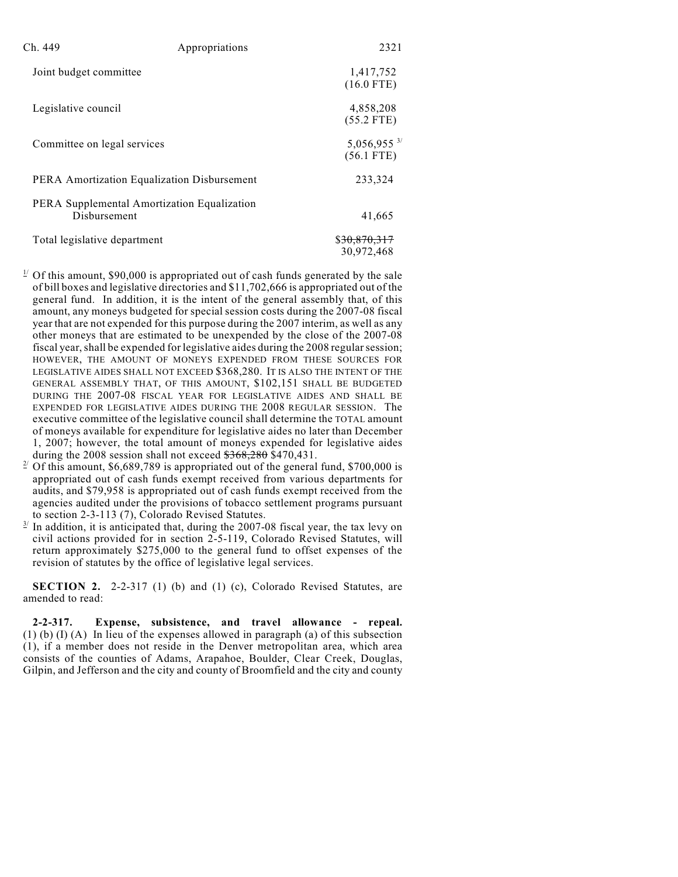| Ch. 449                                                     | Appropriations | 2321                                      |
|-------------------------------------------------------------|----------------|-------------------------------------------|
| Joint budget committee                                      |                | 1,417,752<br>$(16.0$ FTE)                 |
| Legislative council                                         |                | 4,858,208<br>$(55.2$ FTE)                 |
| Committee on legal services                                 |                | $5,056,955$ <sup>3/</sup><br>$(56.1$ FTE) |
| PERA Amortization Equalization Disbursement                 |                | 233,324                                   |
| PERA Supplemental Amortization Equalization<br>Disbursement |                | 41,665                                    |
| Total legislative department                                |                | \$ <del>30,870,317</del><br>30.972.468    |

- $\frac{1}{2}$  Of this amount, \$90,000 is appropriated out of cash funds generated by the sale of bill boxes and legislative directories and \$11,702,666 is appropriated out of the general fund. In addition, it is the intent of the general assembly that, of this amount, any moneys budgeted for special session costs during the 2007-08 fiscal year that are not expended for this purpose during the 2007 interim, as well as any other moneys that are estimated to be unexpended by the close of the 2007-08 fiscal year, shall be expended for legislative aides during the 2008 regular session; HOWEVER, THE AMOUNT OF MONEYS EXPENDED FROM THESE SOURCES FOR LEGISLATIVE AIDES SHALL NOT EXCEED \$368,280. IT IS ALSO THE INTENT OF THE GENERAL ASSEMBLY THAT, OF THIS AMOUNT, \$102,151 SHALL BE BUDGETED DURING THE 2007-08 FISCAL YEAR FOR LEGISLATIVE AIDES AND SHALL BE EXPENDED FOR LEGISLATIVE AIDES DURING THE 2008 REGULAR SESSION. The executive committee of the legislative council shall determine the TOTAL amount of moneys available for expenditure for legislative aides no later than December 1, 2007; however, the total amount of moneys expended for legislative aides during the 2008 session shall not exceed  $\frac{$368,280}{$470,431}$ .
- <sup>2</sup> Of this amount, \$6,689,789 is appropriated out of the general fund, \$700,000 is appropriated out of cash funds exempt received from various departments for audits, and \$79,958 is appropriated out of cash funds exempt received from the agencies audited under the provisions of tobacco settlement programs pursuant to section 2-3-113 (7), Colorado Revised Statutes.
- In addition, it is anticipated that, during the 2007-08 fiscal year, the tax levy on civil actions provided for in section 2-5-119, Colorado Revised Statutes, will return approximately \$275,000 to the general fund to offset expenses of the revision of statutes by the office of legislative legal services.

**SECTION 2.** 2-2-317 (1) (b) and (1) (c), Colorado Revised Statutes, are amended to read:

**2-2-317. Expense, subsistence, and travel allowance - repeal.** (1) (b) (I) (A) In lieu of the expenses allowed in paragraph (a) of this subsection (1), if a member does not reside in the Denver metropolitan area, which area consists of the counties of Adams, Arapahoe, Boulder, Clear Creek, Douglas, Gilpin, and Jefferson and the city and county of Broomfield and the city and county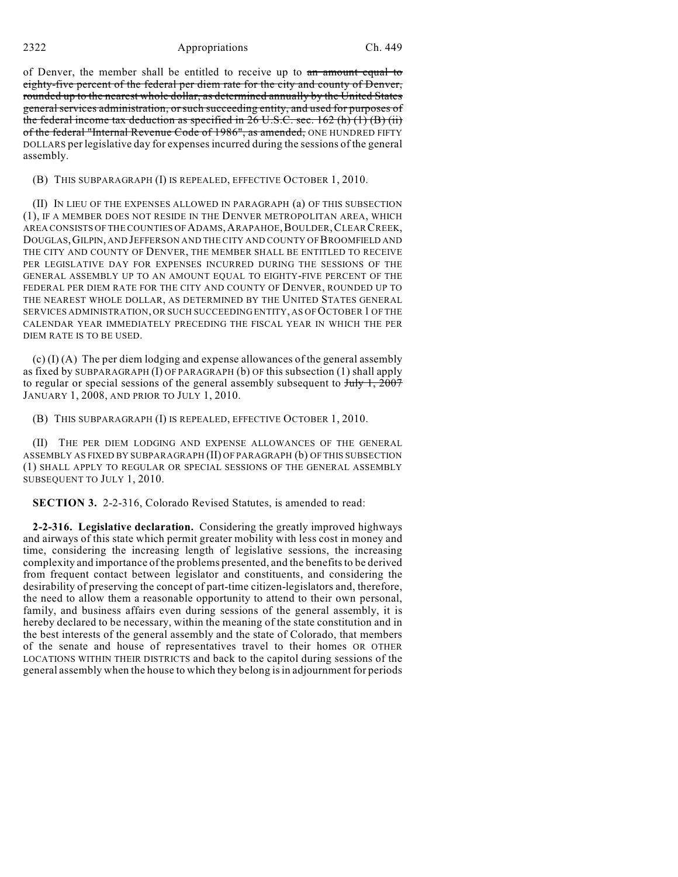### 2322 Appropriations Ch. 449

of Denver, the member shall be entitled to receive up to an amount equal to eighty-five percent of the federal per diem rate for the city and county of Denver, rounded up to the nearest whole dollar, as determined annually by the United States general services administration, orsuch succeeding entity, and used for purposes of the federal income tax deduction as specified in  $26 \text{ U.S.C.}$  sec.  $162 \text{ (h) (1) (B) (ii)}$ of the federal "Internal Revenue Code of 1986", as amended, ONE HUNDRED FIFTY DOLLARS perlegislative day for expenses incurred during the sessions of the general assembly.

#### (B) THIS SUBPARAGRAPH (I) IS REPEALED, EFFECTIVE OCTOBER 1, 2010.

(II) IN LIEU OF THE EXPENSES ALLOWED IN PARAGRAPH (a) OF THIS SUBSECTION (1), IF A MEMBER DOES NOT RESIDE IN THE DENVER METROPOLITAN AREA, WHICH AREA CONSISTS OF THE COUNTIES OF ADAMS,ARAPAHOE,BOULDER,CLEAR CREEK, DOUGLAS,GILPIN, AND JEFFERSON AND THE CITY AND COUNTY OF BROOMFIELD AND THE CITY AND COUNTY OF DENVER, THE MEMBER SHALL BE ENTITLED TO RECEIVE PER LEGISLATIVE DAY FOR EXPENSES INCURRED DURING THE SESSIONS OF THE GENERAL ASSEMBLY UP TO AN AMOUNT EQUAL TO EIGHTY-FIVE PERCENT OF THE FEDERAL PER DIEM RATE FOR THE CITY AND COUNTY OF DENVER, ROUNDED UP TO THE NEAREST WHOLE DOLLAR, AS DETERMINED BY THE UNITED STATES GENERAL SERVICES ADMINISTRATION, OR SUCH SUCCEEDING ENTITY, AS OF OCTOBER 1 OF THE CALENDAR YEAR IMMEDIATELY PRECEDING THE FISCAL YEAR IN WHICH THE PER DIEM RATE IS TO BE USED.

(c) (I) (A) The per diem lodging and expense allowances of the general assembly as fixed by SUBPARAGRAPH (I) OF PARAGRAPH (b) OF this subsection (1) shall apply to regular or special sessions of the general assembly subsequent to  $J_{\text{uly}} 1, 2007$ JANUARY 1, 2008, AND PRIOR TO JULY 1, 2010.

(B) THIS SUBPARAGRAPH (I) IS REPEALED, EFFECTIVE OCTOBER 1, 2010.

(II) THE PER DIEM LODGING AND EXPENSE ALLOWANCES OF THE GENERAL ASSEMBLY AS FIXED BY SUBPARAGRAPH (II) OF PARAGRAPH (b) OF THIS SUBSECTION (1) SHALL APPLY TO REGULAR OR SPECIAL SESSIONS OF THE GENERAL ASSEMBLY SUBSEQUENT TO JULY 1, 2010.

**SECTION 3.** 2-2-316, Colorado Revised Statutes, is amended to read:

**2-2-316. Legislative declaration.** Considering the greatly improved highways and airways of this state which permit greater mobility with less cost in money and time, considering the increasing length of legislative sessions, the increasing complexity and importance of the problems presented, and the benefits to be derived from frequent contact between legislator and constituents, and considering the desirability of preserving the concept of part-time citizen-legislators and, therefore, the need to allow them a reasonable opportunity to attend to their own personal, family, and business affairs even during sessions of the general assembly, it is hereby declared to be necessary, within the meaning of the state constitution and in the best interests of the general assembly and the state of Colorado, that members of the senate and house of representatives travel to their homes OR OTHER LOCATIONS WITHIN THEIR DISTRICTS and back to the capitol during sessions of the general assembly when the house to which they belong is in adjournment for periods